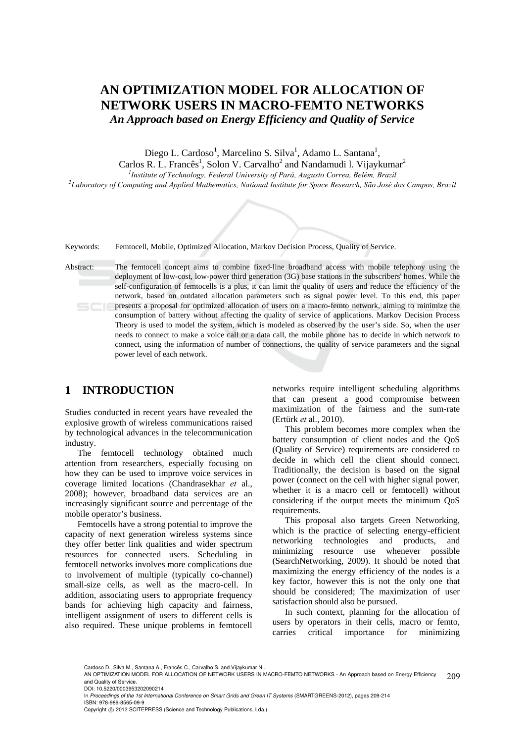# **AN OPTIMIZATION MODEL FOR ALLOCATION OF NETWORK USERS IN MACRO-FEMTO NETWORKS**  *An Approach based on Energy Efficiency and Quality of Service*

Diego L. Cardoso<sup>1</sup>, Marcelino S. Silva<sup>1</sup>, Adamo L. Santana<sup>1</sup>,

Carlos R. L. Francês<sup>1</sup>, Solon V. Carvalho<sup>2</sup> and Nandamudi l. Vijaykumar<sup>2</sup>

<sup>1</sup> *Institute of Technology, Federal University of Pará, Augusto Correa, Belém, Brazil*<br><sup>2</sup> Charatam of Computing and Applied Mathematics, National Institute for Space Research, São, José d *Laboratory of Computing and Applied Mathematics, National Institute for Space Research, São José dos Campos, Brazil* 

Keywords: Femtocell, Mobile, Optimized Allocation, Markov Decision Process, Quality of Service.

Abstract: The femtocell concept aims to combine fixed-line broadband access with mobile telephony using the deployment of low-cost, low-power third generation (3G) base stations in the subscribers' homes. While the self-configuration of femtocells is a plus, it can limit the quality of users and reduce the efficiency of the network, based on outdated allocation parameters such as signal power level. To this end, this paper presents a proposal for optimized allocation of users on a macro-femto network, aiming to minimize the consumption of battery without affecting the quality of service of applications. Markov Decision Process Theory is used to model the system, which is modeled as observed by the user's side. So, when the user needs to connect to make a voice call or a data call, the mobile phone has to decide in which network to connect, using the information of number of connections, the quality of service parameters and the signal power level of each network.

## **1 INTRODUCTION**

Studies conducted in recent years have revealed the explosive growth of wireless communications raised by technological advances in the telecommunication industry.

The femtocell technology obtained much attention from researchers, especially focusing on how they can be used to improve voice services in coverage limited locations (Chandrasekhar *et* al., 2008); however, broadband data services are an increasingly significant source and percentage of the mobile operator's business.

Femtocells have a strong potential to improve the capacity of next generation wireless systems since they offer better link qualities and wider spectrum resources for connected users. Scheduling in femtocell networks involves more complications due to involvement of multiple (typically co-channel) small-size cells, as well as the macro-cell. In addition, associating users to appropriate frequency bands for achieving high capacity and fairness, intelligent assignment of users to different cells is also required. These unique problems in femtocell

networks require intelligent scheduling algorithms that can present a good compromise between maximization of the fairness and the sum-rate (Ertürk *et* al., 2010).

This problem becomes more complex when the battery consumption of client nodes and the QoS (Quality of Service) requirements are considered to decide in which cell the client should connect. Traditionally, the decision is based on the signal power (connect on the cell with higher signal power, whether it is a macro cell or femtocell) without considering if the output meets the minimum QoS requirements.

This proposal also targets Green Networking, which is the practice of selecting energy-efficient networking technologies and products, and minimizing resource use whenever possible (SearchNetworking, 2009). It should be noted that maximizing the energy efficiency of the nodes is a key factor, however this is not the only one that should be considered; The maximization of user satisfaction should also be pursued.

In such context, planning for the allocation of users by operators in their cells, macro or femto, carries critical importance for minimizing

Cardoso D., Silva M., Santana A., Francês C., Carvalho S. and Vijaykumar N.

In *Proceedings of the 1st International Conference on Smart Grids and Green IT Systems* (SMARTGREENS-2012), pages 209-214 ISBN: 978-989-8565-09-9

<sup>209</sup> AN OPTIMIZATION MODEL FOR ALLOCATION OF NETWORK USERS IN MACRO-FEMTO NETWORKS - An Approach based on Energy Efficiency and Quality of Service.

DOI: 10.5220/0003953202090214

Copyright © 2012 SCITEPRESS (Science and Technology Publications, Lda.)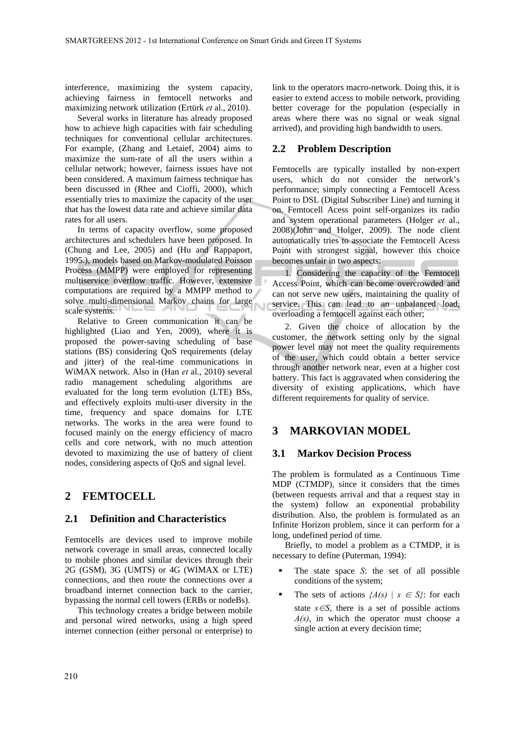interference, maximizing the system capacity, achieving fairness in femtocell networks and maximizing network utilization (Ertürk *et* al., 2010).

Several works in literature has already proposed how to achieve high capacities with fair scheduling techniques for conventional cellular architectures. For example, (Zhang and Letaief, 2004) aims to maximize the sum-rate of all the users within a cellular network; however, fairness issues have not been considered. A maximum fairness technique has been discussed in (Rhee and Cioffi, 2000), which essentially tries to maximize the capacity of the user that has the lowest data rate and achieve similar data rates for all users.

In terms of capacity overflow, some proposed architectures and schedulers have been proposed. In (Chung and Lee, 2005) and (Hu and Rappaport, 1995.), models based on Markov-modulated Poisson Process (MMPP) were employed for representing multiservice overflow traffic. However, extensive computations are required by a MMPP method to solve multi-dimensional Markov chains for large scale systems.

Relative to Green communication it can be highlighted (Liao and Yen, 2009), where it is proposed the power-saving scheduling of base stations (BS) considering QoS requirements (delay and jitter) of the real-time communications in WiMAX network. Also in (Han *et* al., 2010) several radio management scheduling algorithms are evaluated for the long term evolution (LTE) BSs, and effectively exploits multi-user diversity in the time, frequency and space domains for LTE networks. The works in the area were found to focused mainly on the energy efficiency of macro cells and core network, with no much attention devoted to maximizing the use of battery of client nodes, considering aspects of QoS and signal level.

### **2 FEMTOCELL**

#### **2.1 Definition and Characteristics**

Femtocells are devices used to improve mobile network coverage in small areas, connected locally to mobile phones and similar devices through their 2G (GSM), 3G (UMTS) or 4G (WIMAX or LTE) connections, and then route the connections over a broadband internet connection back to the carrier, bypassing the normal cell towers (ERBs or nodeBs).

This technology creates a bridge between mobile and personal wired networks, using a high speed internet connection (either personal or enterprise) to

link to the operators macro-network. Doing this, it is easier to extend access to mobile network, providing better coverage for the population (especially in areas where there was no signal or weak signal arrived), and providing high bandwidth to users.

#### **2.2 Problem Description**

Femtocells are typically installed by non-expert users, which do not consider the network's performance; simply connecting a Femtocell Acess Point to DSL (Digital Subscriber Line) and turning it on. Femtocell Acess point self-organizes its radio and system operational parameters (Holger *et* al., 2008)(John and Holger, 2009). The node client automatically tries to associate the Femtocell Acess Point with strongest signal, however this choice becomes unfair in two aspects:

1. Considering the capacity of the Femtocell Access Point, which can become overcrowded and can not serve new users, maintaining the quality of service. This can lead to an unbalanced load, overloading a femtocell against each other;

2. Given the choice of allocation by the customer, the network setting only by the signal power level may not meet the quality requirements of the user, which could obtain a better service through another network near, even at a higher cost battery. This fact is aggravated when considering the diversity of existing applications, which have different requirements for quality of service.

### **3 MARKOVIAN MODEL**

#### **3.1 Markov Decision Process**

The problem is formulated as a Continuous Time MDP (CTMDP), since it considers that the times (between requests arrival and that a request stay in the system) follow an exponential probability distribution. Also, the problem is formulated as an Infinite Horizon problem, since it can perform for a long, undefined period of time.

Briefly, to model a problem as a CTMDP, it is necessary to define (Puterman, 1994):

- The state space *S*: the set of all possible conditions of the system;
- The sets of actions  ${A(s) | s \in S}$ : for each state  $s \in S$ , there is a set of possible actions *A(s)*, in which the operator must choose a single action at every decision time;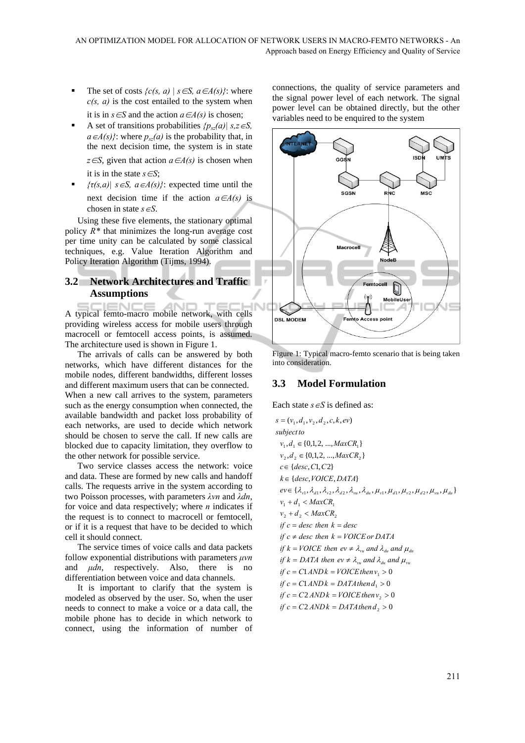- The set of costs  $\{c(s, a) \mid s \in S, a \in A(s)\}$ : where *c(s, a)* is the cost entailed to the system when it is in  $s \in S$  and the action  $a \in A(s)$  is chosen;
- A set of transitions probabilities  $\{p_{sz}(a) | s, z \in S, \}$  $a \in A(s)$ }: where  $p_{sz}(a)$  is the probability that, in the next decision time, the system is in state *z*∈*S*, given that action *a*∈*A(s)* is chosen when it is in the state  $s \in S$ ;
- $\{ \tau(s,a) | s \in S, a \in A(s) \}$ : expected time until the next decision time if the action  $a \in A(s)$  is chosen in state *s*∈*S*.

Using these five elements, the stationary optimal policy  $R^*$  that minimizes the long-run average cost per time unity can be calculated by some classical techniques, e.g. Value Iteration Algorithm and Policy Iteration Algorithm (Tijms, 1994).

### **3.2 Network Architectures and Traffic Assumptions**

A typical femto-macro mobile network, with cells providing wireless access for mobile users through macrocell or femtocell access points, is assumed. The architecture used is shown in Figure 1.

The arrivals of calls can be answered by both networks, which have different distances for the mobile nodes, different bandwidths, different losses and different maximum users that can be connected. When a new call arrives to the system, parameters such as the energy consumption when connected, the available bandwidth and packet loss probability of each networks, are used to decide which network should be chosen to serve the call. If new calls are blocked due to capacity limitation, they overflow to the other network for possible service.

Two service classes access the network: voice and data. These are formed by new calls and handoff calls. The requests arrive in the system according to two Poisson processes, with parameters *λvn* and *λdn*, for voice and data respectively; where *n* indicates if the request is to connect to macrocell or femtocell, or if it is a request that have to be decided to which cell it should connect.

The service times of voice calls and data packets follow exponential distributions with parameters *μvn* and *μdn*, respectively. Also, there is no differentiation between voice and data channels.

It is important to clarify that the system is modeled as observed by the user. So, when the user needs to connect to make a voice or a data call, the mobile phone has to decide in which network to connect, using the information of number of

connections, the quality of service parameters and the signal power level of each network. The signal power level can be obtained directly, but the other variables need to be enquired to the system



Figure 1: Typical macro-femto scenario that is being taken into consideration.

### **3.3 Model Formulation**

Each state *s*∈*S* is defined as:

 $if c = C2 \, ANDk = DATA then d_2 > 0$  $if c = C2 \, ANDk = VOICE then v_2 > 0$  $if c = C1 \, AND \, k = DATA \, then \, d_1 > 0$  $if c = C1 AND k = VOICE then v<sub>1</sub> > 0$  $ev \in {\lambda_{v1}, \lambda_{d1}, \lambda_{v2}, \lambda_{d2}, \lambda_{vu}, \lambda_{du}, \mu_{v1}, \mu_{d1}, \mu_{v2}, \mu_{d2}, \mu_{vu}, \mu_{du}}$  $k \in \{desc, VOICE, DATA\}$  $c \in \{desc, C1, C2\}$  $v_2, d_2 \in \{0, 1, 2, ..., MaxCR_2\}$  $v_1, d_1 \in \{0, 1, 2, ..., MaxCR_1\}$  $s = (v_1, d_1, v_2, d_2, c, k, ev)$  $v_2 + d_2 < MaxCR_2$  $v_1 + d_1 < MaxCR_1$ *if*  $k = DATA$  *then*  $ev \neq \lambda_{vu}$  *and*  $\lambda_{du}$  *and*  $\mu_{vu}$ *if*  $k = VOICE$  *then*  $ev \neq \lambda_{vu}$  *and*  $\lambda_{du}$  *and*  $\mu_{du}$  $if c \neq desc$  *then*  $k = VOICE$  *or*  $DATA$  $if c = desc$  *then*  $k = desc$ *subjectto*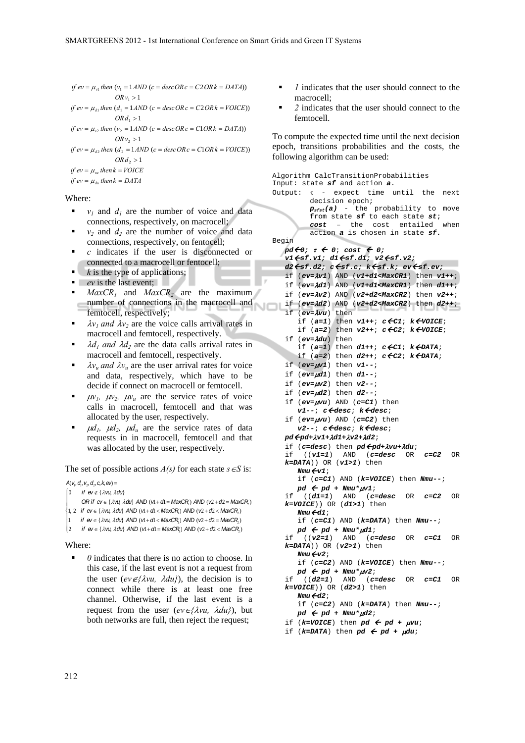```
ORv_1 > 1if ev = \mu_{v1} then (v_1 = 1 \text{ AND } (c = desc \text{ OR } c = C2 \text{ OR } k = \text{DATA}))
```
 $ORd_1 > 1$ *if*  $ev = \mu_{d1}$  *then*  $(d_1 = 1 \text{ AND } (c = desc \text{ OR } c = C2 \text{ OR } k = \text{VOICE}))$ 

 $ORv_2 > 1$ *if*  $ev = \mu_{v_2}$  *then*  $(v_2 = 1 \text{ AND } (c = desc \text{ OR } c = C1 \text{ OR } k = DATA))$ 

 $ORd_2 > 1$ *if*  $ev = \mu_{d2}$  *then*  $(d_2 = 1 \text{ AND } (c = desc \text{ OR } c = C1 \text{ OR } k = \text{VOICE}))$ 

*if*  $ev = \mu_{vu}$  then  $k = VOICE$ 

*if*  $ev = \mu_{du}$  then  $k = DATA$ 

Where:

- $v_1$  and  $d_1$  are the number of voice and data connections, respectively, on macrocell;
- $v_2$  and  $d_2$  are the number of voice and data connections, respectively, on fentocell;
- *c* indicates if the user is disconnected or connected to a macrocell or fentocell;
- *k* is the type of applications;
- **e** *ev* is the last event;
- *MaxCR<sub>1</sub>* and *MaxCR<sub>2</sub>* are the maximum number of connections in the macrocell and femtocell, respectively;
- $\lambda v_1$  *and*  $\lambda v_2$  are the voice calls arrival rates in macrocell and femtocell, respectively.
- $\lambda d_1$  and  $\lambda d_2$  are the data calls arrival rates in macrocell and femtocell, respectively.
- $\lambda v_u$  *and*  $\lambda v_u$  are the user arrival rates for voice and data, respectively, which have to be decide if connect on macrocell or femtocell.
- $\mu v_1$ ,  $\mu v_2$ ,  $\mu v_1$  are the service rates of voice calls in macrocell, femtocell and that was allocated by the user, respectively.
- $\mu d_1$ ,  $\mu d_2$ ,  $\mu d_2$  are the service rates of data requests in in macrocell, femtocell and that was allocated by the user, respectively.

The set of possible actions  $A(s)$  for each state  $s \in S$  is:

```
A(v_1, d_1, v_2, d_2, c, k, ev) =
```
 $\begin{bmatrix} 0 & \text{if } \mathsf{ev} \notin \{ \lambda \mathsf{v} \mathsf{u} \ \lambda \mathsf{d} \mathsf{u} \} \end{bmatrix}$ 

```
OR if ev \in \{\lambda v\}, \lambda dv\} AND (v + d) = \text{MaxCR} AND (v2 + d2 = \text{MaxCR})\overline{a}
```

```
1, 2 if ev ∈ {λvu, λdu} AND (v1+ d1< MaxCR1) AND (v2 + d2 < MaxCR2 )
⎨
⎪
⎪
```

```
\begin{vmatrix} 1 & \text{if } \text{ev} \in \{\lambda \text{ vu}, \lambda \text{ du}\}, \text{ AND } (\text{vl} + \text{dl} < \text{MaxCR}) \text{ AND } (\text{vl} + \text{dl} > \text{d} \text{v}) \end{vmatrix}
```

```
(2 if ev ∈ {λvu, λdu} AND (v1+ d1 = MaxCR<sub>2</sub>) AND (v2+ d2 < MaxCR<sub>2</sub>)
```
#### Where:

 *0* indicates that there is no action to choose. In this case, if the last event is not a request from the user  $(ev \notin \{ \lambda vu, \ \lambda du \})$ , the decision is to connect while there is at least one free channel. Otherwise, if the last event is a request from the user  $(ev \in \{ \lambda vu, \lambda du \})$ , but both networks are full, then reject the request;

- *1* indicates that the user should connect to the macrocell;
- *2* indicates that the user should connect to the femtocell.

To compute the expected time until the next decision epoch, transitions probabilities and the costs, the following algorithm can be used:

```
Algorithm CalcTransitionProbabilities 
Input: state sf and action a. 
Output: τ - expect time until the next 
         decision epoch; 
         psfst(a) - the probability to move 
         from state sf to each state st; 
         cost – the cost entailed when 
         action a is chosen in state sf.
Begin 
  pd<del>←</del>0; τ ← 0; cost ← 0;
   v1Åsf.v1; d1Åsf.d1; v2Åsf.v2; 
   d2Åsf.d2; cÅsf.c; kÅsf.k; evÅsf.ev; 
   if (ev=λv1) AND (v1+d1<MaxCR1) then v1++; 
   if (ev=λd1) AND (v1+d1<MaxCR1) then d1++; 
   if (ev=λv2) AND (v2+d2<MaxCR2) then v2++; 
   if (ev=λd2) AND (v2+d2<MaxCR2) then d2++; 
   if (ev=λvu) then 
       if (a=1) then v1++; cÅC1; kÅVOICE; 
      if (a=2) then v2++; c \leqC2; k \leqVOICE;
   if (ev=λdu) then 
      if (a=1) then d1++; c \in Cl; k \in DATA;
      if (a=2) then d2++; cÅC2; kÅDATA; 
   if (ev=μv1) then v1--; 
   if (ev=μd1) then d1--; 
   if (ev=μv2) then v2--; 
   if (ev=μd2) then d2--; 
   if (ev=μvu) AND (c=C1) then 
       v1--; cÅdesc; kÅdesc; 
   if (ev=μvu) AND (c=C2) then 
       v2--; cÅdesc; kÅdesc; 
   pdÅpd+λv1+λd1+λv2+λd2; 
   if (c=desc) then pdÅpd+λvu+λdu; 
   if ((v1=1) AND (c=desc OR c=C2 OR 
   k=DATA)) OR (v1>1) then 
       NmuÅv1; 
       if (c=C1) AND (k=VOICE) then Nmu--; 
   pd \leftarrow pd + Nmu * \mu v1;<br>if ((d1=1) AND (c=1)if ((d1=1) AND (c=desc OR c=C2 OR 
   k=VOICE)) OR (d1>1) then 
       NmuÅd1; 
       if (c=C1) AND (k=DATA) then Nmu--; 
       pd Å pd + Nmu*μd1; 
   if ((v2=1) AND (c=desc OR c=C1 OR 
   k=DATA)) OR (v2>1) then 
       NmuÅv2; 
       if (c=C2) AND (k=VOICE) then Nmu--; 
    pd Å pd + Nmu*μv2; 
   if ((d2=1) AND (c=desc OR c=C1 OR 
   k=VOICE)) OR (d2>1) then 
       NmuÅd2; 
       if (c=C2) AND (k=DATA) then Nmu--; 
       pd Å pd + Nmu*μd2; 
   if (k=VOICE) then pd \leftarrow pd + \mu vu;
   if (k=DATA) then pd \leftarrow pd + \mu du;
```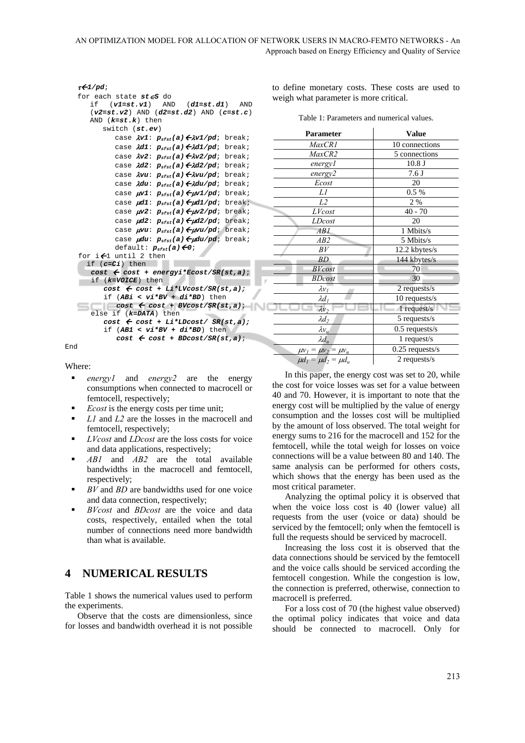```
τÅ1/pd; 
for each state st∈S do 
   if (v1=st.v1) AND (d1=st.d1) AND 
   (v2=st.v2) AND (d2=st.d2) AND (c=st.c) 
   AND (k=st.k) then 
       switch (st.ev) 
         case λv1: psfst(a)Åλv1/pd; break; 
         case λd1: p<sub>sfst</sub>(a) ←λd1/pd; break;
         case λv2: psfst(a)Åλv2/pd; break; 
         case λd2: psfst(a)Åλd2/pd; break; 
         case λvu: psfst(a)Åλvu/pd; break; 
         case λdu: psfst(a)Åλdu/pd; break; 
         case μv1: psfst(a)Åμv1/pd; break; 
         case μd1: psfst(a)Åμd1/pd; break; 
         case μv2: psfst(a)Åμv2/pd; break; 
         case μd2: psfst(a)Åμd2/pd; break; 
         case μvu: psfst(a)Åμvu/pd; break; 
         case μdu: psfst(a)Åμdu/pd; break; 
         default: psfst(a)Å0; 
for i \bigoplus until 2 then
   if (c=Ci) then 
    cost Å cost + energyi*Ecost/SR(st,a); 
    if (k=VOICE) then 
       cost Å cost + Li*LVcost/SR(st,a); 
       if (ABi < vi*BV + di*BD) then 
       cost Å cost + BVcost/SR(st,a); 
    else if (k=DATA) then 
       cost Å cost + Li*LDcost/ SR(st,a); 
       if (AB1 < vi*BV + di*BD) then 
          cost Å cost + BDcost/SR(st,a);
```
End

Where:

- **e** *energy1* and *energy2* are the energy consumptions when connected to macrocell or femtocell, respectively;
- *Ecost* is the energy costs per time unit;
- *L1* and *L2* are the losses in the macrocell and femtocell, respectively;
- *LVcost* and *LDcost* are the loss costs for voice and data applications, respectively;
- *AB1* and *AB2* are the total available bandwidths in the macrocell and femtocell, respectively;
- *BV* and *BD* are bandwidths used for one voice and data connection, respectively;
- *BVcost* and *BDcost* are the voice and data costs, respectively, entailed when the total number of connections need more bandwidth than what is available.

### **4 NUMERICAL RESULTS**

Table 1 shows the numerical values used to perform the experiments.

Observe that the costs are dimensionless, since for losses and bandwidth overhead it is not possible

to define monetary costs. These costs are used to weigh what parameter is more critical.

Table 1: Parameters and numerical values.

| <b>Parameter</b>              | <b>Value</b>      |
|-------------------------------|-------------------|
| MaxCR1                        | 10 connections    |
| MaxCR2                        | 5 connections     |
| energy1                       | 10.8J             |
| energy2                       | 7.6J              |
| Ecost                         | 20                |
| Ll                            | 0.5 %             |
| L <sub>2</sub>                | 2 %               |
| LVcost                        | $40 - 70$         |
| LDcost                        | 20                |
| AB1                           | 1 Mbits/s         |
| AB2                           | 5 Mbits/s         |
| BV                            | 12.2 kbytes/s     |
| <b>BD</b>                     | 144 kbytes/s      |
| <b>BV</b> cost                | 70                |
| <b>BDcost</b>                 | 30                |
| $\lambda v_I$                 | 2 requests/s      |
| $\lambda d_I$                 | 10 requests/s     |
| $\lambda v_2$                 | 1 request/s       |
| $\lambda d_2$                 | 5 requests/s      |
| $\lambda v_u$                 | $0.5$ requests/s  |
| $\lambda d_u$                 | 1 request/s       |
| $\mu v_1 = \mu v_2 = \mu v_u$ | $0.25$ requests/s |
| $\mu d_1 = \mu d_2 = \mu d_u$ | 2 requests/s      |

In this paper, the energy cost was set to 20, while the cost for voice losses was set for a value between 40 and 70. However, it is important to note that the energy cost will be multiplied by the value of energy consumption and the losses cost will be multiplied by the amount of loss observed. The total weight for energy sums to 216 for the macrocell and 152 for the femtocell, while the total weigh for losses on voice connections will be a value between 80 and 140. The same analysis can be performed for others costs, which shows that the energy has been used as the most critical parameter.

Analyzing the optimal policy it is observed that when the voice loss cost is 40 (lower value) all requests from the user (voice or data) should be serviced by the femtocell; only when the femtocell is full the requests should be serviced by macrocell.

Increasing the loss cost it is observed that the data connections should be serviced by the femtocell and the voice calls should be serviced according the femtocell congestion. While the congestion is low, the connection is preferred, otherwise, connection to macrocell is preferred.

For a loss cost of 70 (the highest value observed) the optimal policy indicates that voice and data should be connected to macrocell. Only for